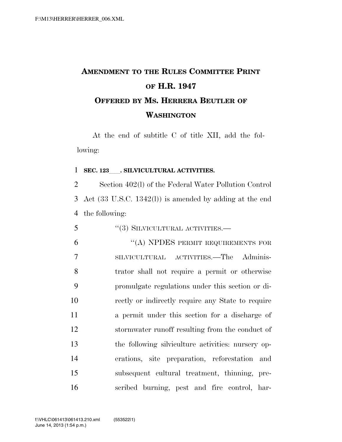## **AMENDMENT TO THE RULES COMMITTEE PRINT OF H.R. 1947 OFFERED BY MS. HERRERA BEUTLER OF WASHINGTON**

At the end of subtitle C of title XII, add the following:

## <sup>1</sup> **SEC. 123**ll**. SILVICULTURAL ACTIVITIES.**

5 "(3) SILVICULTURAL ACTIVITIES.—

2 Section 402(l) of the Federal Water Pollution Control 3 Act (33 U.S.C. 1342(l)) is amended by adding at the end 4 the following:

 ''(A) NPDES PERMIT REQUIREMENTS FOR SILVICULTURAL ACTIVITIES.—The Adminis- trator shall not require a permit or otherwise promulgate regulations under this section or di- rectly or indirectly require any State to require a permit under this section for a discharge of stormwater runoff resulting from the conduct of the following silviculture activities: nursery op- erations, site preparation, reforestation and subsequent cultural treatment, thinning, pre-scribed burning, pest and fire control, har